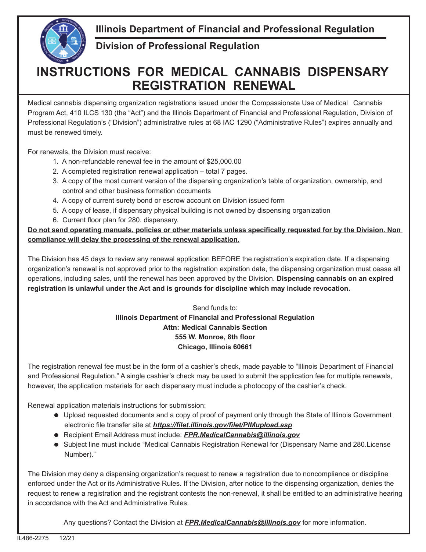**Illinois Department of Financial and Professional Regulation**



**Division of Professional Regulation**

## **INSTRUCTIONS FOR MEDICAL CANNABIS DISPENSARY REGISTRATION RENEWAL**

Medical cannabis dispensing organization registrations issued under the Compassionate Use of Medical Cannabis Program Act, 410 ILCS 130 (the "Act") and the Illinois Department of Financial and Professional Regulation, Division of Professional Regulation's ("Division") administrative rules at 68 IAC 1290 ("Administrative Rules") expires annually and must be renewed timely.

For renewals, the Division must receive:

- 1. A non-refundable renewal fee in the amount of \$25,000.00
- 2. A completed registration renewal application total 7 pages.
- 3. A copy of the most current version of the dispensing organization's table of organization, ownership, and control and other business formation documents
- 4. A copy of current surety bond or escrow account on Division issued form
- 5. A copy of lease, if dispensary physical building is not owned by dispensing organization
- 6. Current floor plan for 280. dispensary.

Do not send operating manuals, policies or other materials unless specifically requested for by the Division. Non **compliance will delay the processing of the renewal application.**

The Division has 45 days to review any renewal application BEFORE the registration's expiration date. If a dispensing organization's renewal is not approved prior to the registration expiration date, the dispensing organization must cease all operations, including sales, until the renewal has been approved by the Division. **Dispensing cannabis on an expired registration is unlawful under the Act and is grounds for discipline which may include revocation.**

## Send funds to: **Illinois Department of Financial and Professional Regulation Attn: Medical Cannabis Section 555 W. Monroe, 8th floor Chicago, Illinois 60661**

The registration renewal fee must be in the form of a cashier's check, made payable to "Illinois Department of Financial and Professional Regulation." A single cashier's check may be used to submit the application fee for multiple renewals, however, the application materials for each dispensary must include a photocopy of the cashier's check.

Renewal application materials instructions for submission:

- Upload requested documents and a copy of proof of payment only through the State of Illinois Government electronic file transfer site at **https://filet.illinois.gov/filet/PIMupload.asp**
- Recipient Email Address must include: *FPR.MedicalCannabis@illinois.gov*
- Subject line must include "Medical Cannabis Registration Renewal for (Dispensary Name and 280.License Number)."

The Division may deny a dispensing organization's request to renew a registration due to noncompliance or discipline enforced under the Act or its Administrative Rules. If the Division, after notice to the dispensing organization, denies the request to renew a registration and the registrant contests the non-renewal, it shall be entitled to an administrative hearing in accordance with the Act and Administrative Rules.

Any questions? Contact the Division at *FPR.MedicalCannabis@illinois.gov* for more information.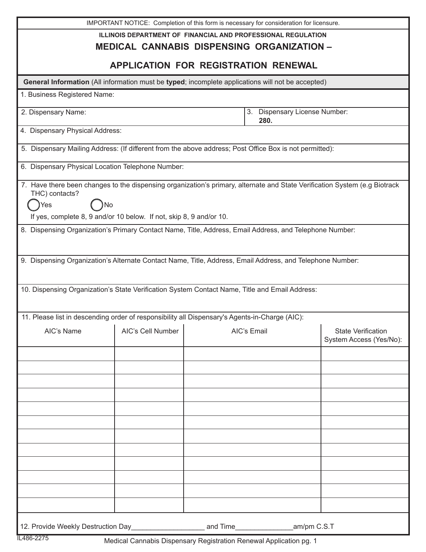|                                                                     |                                                                      | IMPORTANT NOTICE: Completion of this form is necessary for consideration for licensure.                                    |                                                      |  |  |
|---------------------------------------------------------------------|----------------------------------------------------------------------|----------------------------------------------------------------------------------------------------------------------------|------------------------------------------------------|--|--|
|                                                                     | <b>ILLINOIS DEPARTMENT OF FINANCIAL AND PROFESSIONAL REGULATION</b>  |                                                                                                                            |                                                      |  |  |
| <b>MEDICAL CANNABIS DISPENSING ORGANIZATION -</b>                   |                                                                      |                                                                                                                            |                                                      |  |  |
| <b>APPLICATION FOR REGISTRATION RENEWAL</b>                         |                                                                      |                                                                                                                            |                                                      |  |  |
|                                                                     |                                                                      | General Information (All information must be typed; incomplete applications will not be accepted)                          |                                                      |  |  |
| 1. Business Registered Name:                                        |                                                                      |                                                                                                                            |                                                      |  |  |
| 2. Dispensary Name:                                                 |                                                                      | 3. Dispensary License Number:<br>280.                                                                                      |                                                      |  |  |
| 4. Dispensary Physical Address:                                     |                                                                      |                                                                                                                            |                                                      |  |  |
|                                                                     |                                                                      | 5. Dispensary Mailing Address: (If different from the above address; Post Office Box is not permitted):                    |                                                      |  |  |
| 6. Dispensary Physical Location Telephone Number:                   |                                                                      |                                                                                                                            |                                                      |  |  |
|                                                                     |                                                                      | 7. Have there been changes to the dispensing organization's primary, alternate and State Verification System (e.g Biotrack |                                                      |  |  |
| THC) contacts?<br>Yes<br>No                                         |                                                                      |                                                                                                                            |                                                      |  |  |
| If yes, complete 8, 9 and/or 10 below. If not, skip 8, 9 and/or 10. |                                                                      |                                                                                                                            |                                                      |  |  |
|                                                                     |                                                                      | 8. Dispensing Organization's Primary Contact Name, Title, Address, Email Address, and Telephone Number:                    |                                                      |  |  |
|                                                                     |                                                                      |                                                                                                                            |                                                      |  |  |
|                                                                     |                                                                      | 9. Dispensing Organization's Alternate Contact Name, Title, Address, Email Address, and Telephone Number:                  |                                                      |  |  |
|                                                                     |                                                                      |                                                                                                                            |                                                      |  |  |
|                                                                     |                                                                      | 10. Dispensing Organization's State Verification System Contact Name, Title and Email Address:                             |                                                      |  |  |
|                                                                     |                                                                      |                                                                                                                            |                                                      |  |  |
|                                                                     |                                                                      | 11. Please list in descending order of responsibility all Dispensary's Agents-in-Charge (AIC):                             |                                                      |  |  |
| AIC's Name                                                          | the contract of the contract of the contract of<br>AIC's Cell Number | AIC's Email                                                                                                                | <b>State Verification</b><br>System Access (Yes/No): |  |  |
|                                                                     |                                                                      |                                                                                                                            |                                                      |  |  |
|                                                                     |                                                                      |                                                                                                                            |                                                      |  |  |
|                                                                     |                                                                      |                                                                                                                            |                                                      |  |  |
|                                                                     |                                                                      |                                                                                                                            |                                                      |  |  |
|                                                                     |                                                                      |                                                                                                                            |                                                      |  |  |
|                                                                     |                                                                      |                                                                                                                            |                                                      |  |  |
|                                                                     |                                                                      |                                                                                                                            |                                                      |  |  |
|                                                                     |                                                                      |                                                                                                                            |                                                      |  |  |
|                                                                     |                                                                      |                                                                                                                            |                                                      |  |  |
|                                                                     |                                                                      |                                                                                                                            |                                                      |  |  |
|                                                                     |                                                                      |                                                                                                                            |                                                      |  |  |
|                                                                     |                                                                      |                                                                                                                            |                                                      |  |  |
| 12. Provide Weekly Destruction Day                                  |                                                                      | and Time                                                                                                                   | am/pm C.S.T                                          |  |  |

Medical Cannabis Dispensary Registration Renewal Application pg. 1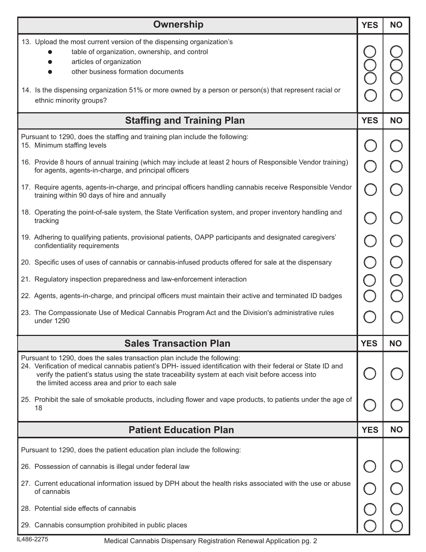| <b>Ownership</b>                                                                                                                                                                                                                                                                                                                               |            |           |
|------------------------------------------------------------------------------------------------------------------------------------------------------------------------------------------------------------------------------------------------------------------------------------------------------------------------------------------------|------------|-----------|
| 13. Upload the most current version of the dispensing organization's<br>table of organization, ownership, and control<br>articles of organization<br>other business formation documents<br>14. Is the dispensing organization 51% or more owned by a person or person(s) that represent racial or<br>ethnic minority groups?                   |            |           |
| <b>Staffing and Training Plan</b>                                                                                                                                                                                                                                                                                                              |            |           |
| Pursuant to 1290, does the staffing and training plan include the following:<br>15. Minimum staffing levels                                                                                                                                                                                                                                    |            |           |
| 16. Provide 8 hours of annual training (which may include at least 2 hours of Responsible Vendor training)<br>for agents, agents-in-charge, and principal officers                                                                                                                                                                             |            |           |
| 17. Require agents, agents-in-charge, and principal officers handling cannabis receive Responsible Vendor<br>training within 90 days of hire and annually                                                                                                                                                                                      |            |           |
| 18. Operating the point-of-sale system, the State Verification system, and proper inventory handling and<br>tracking                                                                                                                                                                                                                           |            |           |
| 19. Adhering to qualifying patients, provisional patients, OAPP participants and designated caregivers'<br>confidentiality requirements                                                                                                                                                                                                        |            |           |
| 20. Specific uses of uses of cannabis or cannabis-infused products offered for sale at the dispensary                                                                                                                                                                                                                                          |            |           |
| 21. Regulatory inspection preparedness and law-enforcement interaction                                                                                                                                                                                                                                                                         |            |           |
| 22. Agents, agents-in-charge, and principal officers must maintain their active and terminated ID badges                                                                                                                                                                                                                                       |            |           |
| 23. The Compassionate Use of Medical Cannabis Program Act and the Division's administrative rules<br>under 1290                                                                                                                                                                                                                                |            |           |
| <b>Sales Transaction Plan</b>                                                                                                                                                                                                                                                                                                                  | <b>YES</b> | <b>NO</b> |
| Pursuant to 1290, does the sales transaction plan include the following:<br>24. Verification of medical cannabis patient's DPH- issued identification with their federal or State ID and<br>verify the patient's status using the state traceability system at each visit before access into<br>the limited access area and prior to each sale |            |           |
| 25. Prohibit the sale of smokable products, including flower and vape products, to patients under the age of<br>18                                                                                                                                                                                                                             |            |           |
| <b>Patient Education Plan</b>                                                                                                                                                                                                                                                                                                                  |            |           |
| Pursuant to 1290, does the patient education plan include the following:                                                                                                                                                                                                                                                                       |            |           |
| 26. Possession of cannabis is illegal under federal law                                                                                                                                                                                                                                                                                        |            |           |
| 27. Current educational information issued by DPH about the health risks associated with the use or abuse<br>of cannabis                                                                                                                                                                                                                       |            |           |
| 28. Potential side effects of cannabis                                                                                                                                                                                                                                                                                                         |            |           |
| 29. Cannabis consumption prohibited in public places                                                                                                                                                                                                                                                                                           |            |           |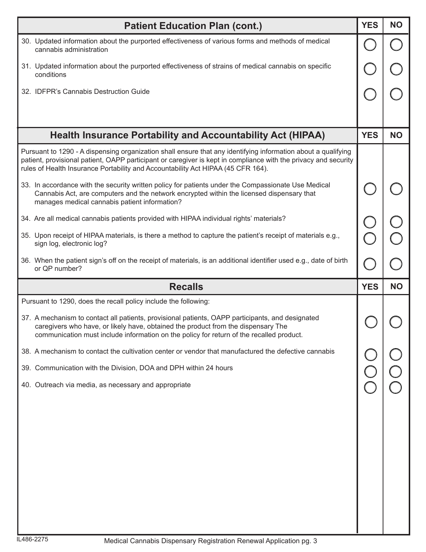| <b>Patient Education Plan (cont.)</b>                                                                                                                                                                                                                                                                                |            |           |  |
|----------------------------------------------------------------------------------------------------------------------------------------------------------------------------------------------------------------------------------------------------------------------------------------------------------------------|------------|-----------|--|
| 30. Updated information about the purported effectiveness of various forms and methods of medical<br>cannabis administration                                                                                                                                                                                         |            |           |  |
| 31. Updated information about the purported effectiveness of strains of medical cannabis on specific<br>conditions                                                                                                                                                                                                   |            |           |  |
| 32. IDFPR's Cannabis Destruction Guide                                                                                                                                                                                                                                                                               |            |           |  |
|                                                                                                                                                                                                                                                                                                                      |            |           |  |
| <b>Health Insurance Portability and Accountability Act (HIPAA)</b>                                                                                                                                                                                                                                                   | <b>YES</b> | <b>NO</b> |  |
| Pursuant to 1290 - A dispensing organization shall ensure that any identifying information about a qualifying<br>patient, provisional patient, OAPP participant or caregiver is kept in compliance with the privacy and security<br>rules of Health Insurance Portability and Accountability Act HIPAA (45 CFR 164). |            |           |  |
| 33. In accordance with the security written policy for patients under the Compassionate Use Medical<br>Cannabis Act, are computers and the network encrypted within the licensed dispensary that<br>manages medical cannabis patient information?                                                                    |            |           |  |
| 34. Are all medical cannabis patients provided with HIPAA individual rights' materials?                                                                                                                                                                                                                              |            |           |  |
| 35. Upon receipt of HIPAA materials, is there a method to capture the patient's receipt of materials e.g.,<br>sign log, electronic log?                                                                                                                                                                              |            |           |  |
| 36. When the patient sign's off on the receipt of materials, is an additional identifier used e.g., date of birth<br>or QP number?                                                                                                                                                                                   |            |           |  |
|                                                                                                                                                                                                                                                                                                                      |            |           |  |
| <b>Recalls</b>                                                                                                                                                                                                                                                                                                       | <b>YES</b> | <b>NO</b> |  |
| Pursuant to 1290, does the recall policy include the following:                                                                                                                                                                                                                                                      |            |           |  |
| 37. A mechanism to contact all patients, provisional patients, OAPP participants, and designated<br>caregivers who have, or likely have, obtained the product from the dispensary The<br>communication must include information on the policy for return of the recalled product.                                    |            |           |  |
| 38. A mechanism to contact the cultivation center or vendor that manufactured the defective cannabis                                                                                                                                                                                                                 |            |           |  |
| 39. Communication with the Division, DOA and DPH within 24 hours                                                                                                                                                                                                                                                     |            |           |  |
| 40. Outreach via media, as necessary and appropriate                                                                                                                                                                                                                                                                 |            |           |  |
|                                                                                                                                                                                                                                                                                                                      |            |           |  |
|                                                                                                                                                                                                                                                                                                                      |            |           |  |
|                                                                                                                                                                                                                                                                                                                      |            |           |  |
|                                                                                                                                                                                                                                                                                                                      |            |           |  |
|                                                                                                                                                                                                                                                                                                                      |            |           |  |
|                                                                                                                                                                                                                                                                                                                      |            |           |  |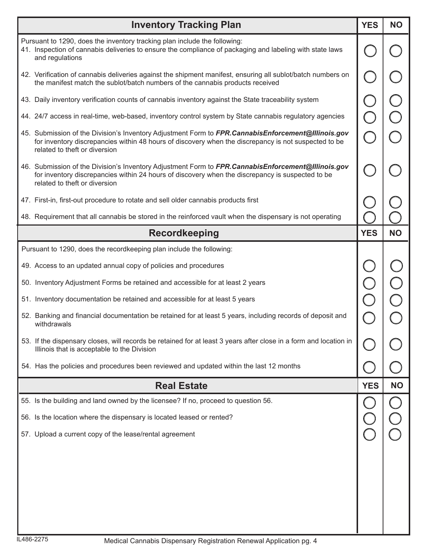| <b>Inventory Tracking Plan</b>                                                                                                                                                                                                              | <b>YES</b> | <b>NO</b> |
|---------------------------------------------------------------------------------------------------------------------------------------------------------------------------------------------------------------------------------------------|------------|-----------|
| Pursuant to 1290, does the inventory tracking plan include the following:<br>41. Inspection of cannabis deliveries to ensure the compliance of packaging and labeling with state laws<br>and regulations                                    |            |           |
| 42. Verification of cannabis deliveries against the shipment manifest, ensuring all sublot/batch numbers on<br>the manifest match the sublot/batch numbers of the cannabis products received                                                |            |           |
| 43. Daily inventory verification counts of cannabis inventory against the State traceability system                                                                                                                                         |            |           |
| 44. 24/7 access in real-time, web-based, inventory control system by State cannabis regulatory agencies                                                                                                                                     |            |           |
| 45. Submission of the Division's Inventory Adjustment Form to FPR.CannabisEnforcement@Illinois.gov<br>for inventory discrepancies within 48 hours of discovery when the discrepancy is not suspected to be<br>related to theft or diversion |            |           |
| 46. Submission of the Division's Inventory Adjustment Form to FPR.CannabisEnforcement@Illinois.gov<br>for inventory discrepancies within 24 hours of discovery when the discrepancy is suspected to be<br>related to theft or diversion     |            |           |
| 47. First-in, first-out procedure to rotate and sell older cannabis products first                                                                                                                                                          |            |           |
| 48. Requirement that all cannabis be stored in the reinforced vault when the dispensary is not operating                                                                                                                                    |            |           |
| <b>Recordkeeping</b>                                                                                                                                                                                                                        | <b>YES</b> | <b>NO</b> |
| Pursuant to 1290, does the recordkeeping plan include the following:                                                                                                                                                                        |            |           |
| 49. Access to an updated annual copy of policies and procedures                                                                                                                                                                             |            |           |
| 50. Inventory Adjustment Forms be retained and accessible for at least 2 years                                                                                                                                                              |            |           |
| 51. Inventory documentation be retained and accessible for at least 5 years                                                                                                                                                                 |            |           |
| 52. Banking and financial documentation be retained for at least 5 years, including records of deposit and<br>withdrawals                                                                                                                   |            |           |
| 53. If the dispensary closes, will records be retained for at least 3 years after close in a form and location in<br>Illinois that is acceptable to the Division                                                                            |            |           |
| 54. Has the policies and procedures been reviewed and updated within the last 12 months                                                                                                                                                     |            |           |
| <b>Real Estate</b>                                                                                                                                                                                                                          | <b>YES</b> | <b>NO</b> |
| 55. Is the building and land owned by the licensee? If no, proceed to question 56.                                                                                                                                                          |            |           |
| 56. Is the location where the dispensary is located leased or rented?                                                                                                                                                                       |            |           |
| 57. Upload a current copy of the lease/rental agreement                                                                                                                                                                                     |            |           |
|                                                                                                                                                                                                                                             |            |           |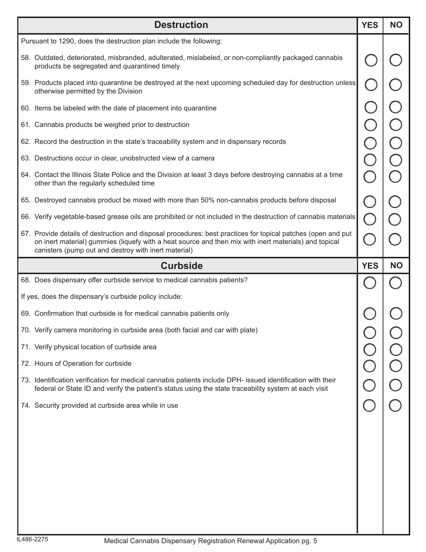| <b>Destruction</b>                                                                                                                                                                                                                                                            | <b>YES</b> | <b>NO</b> |
|-------------------------------------------------------------------------------------------------------------------------------------------------------------------------------------------------------------------------------------------------------------------------------|------------|-----------|
| Pursuant to 1290, does the destruction plan include the following:                                                                                                                                                                                                            |            |           |
| 58. Outdated, deteriorated, misbranded, adulterated, mislabeled, or non-compliantly packaged cannabis<br>products be segregated and quarantined timely                                                                                                                        |            |           |
| 59. Products placed into quarantine be destroyed at the next upcoming scheduled day for destruction unless<br>otherwise permitted by the Division                                                                                                                             |            |           |
| 60. Items be labeled with the date of placement into quarantine                                                                                                                                                                                                               |            |           |
| 61. Cannabis products be weighed prior to destruction                                                                                                                                                                                                                         |            |           |
| 62. Record the destruction in the state's traceability system and in dispensary records                                                                                                                                                                                       |            |           |
| 63. Destructions occur in clear, unobstructed view of a camera                                                                                                                                                                                                                |            |           |
| 64. Contact the Illinois State Police and the Division at least 3 days before destroying cannabis at a time<br>other than the regularly scheduled time                                                                                                                        |            |           |
| 65. Destroyed cannabis product be mixed with more than 50% non-cannabis products before disposal                                                                                                                                                                              |            |           |
| 66. Verify vegetable-based grease oils are prohibited or not included in the destruction of cannabis materials                                                                                                                                                                |            |           |
| 67. Provide details of destruction and disposal procedures: best practices for topical patches (open and put<br>on inert material) gummies (liquefy with a heat source and then mix with inert materials) and topical<br>canisters (pump out and destroy with inert material) |            |           |
| <b>Curbside</b>                                                                                                                                                                                                                                                               | <b>YES</b> | <b>NO</b> |
|                                                                                                                                                                                                                                                                               |            |           |
| 68. Does dispensary offer curbside service to medical cannabis patients?                                                                                                                                                                                                      |            |           |
| If yes, does the dispensary's curbside policy include:                                                                                                                                                                                                                        |            |           |
| 69. Confirmation that curbside is for medical cannabis patients only                                                                                                                                                                                                          |            |           |
| 70. Verify camera monitoring in curbside area (both facial and car with plate)                                                                                                                                                                                                |            |           |
| 71. Verify physical location of curbside area                                                                                                                                                                                                                                 |            |           |
| 72. Hours of Operation for curbside                                                                                                                                                                                                                                           |            |           |
| 73. Identification verification for medical cannabis patients include DPH- issued identification with their<br>federal or State ID and verify the patient's status using the state traceability system at each visit                                                          |            |           |
| 74. Security provided at curbside area while in use                                                                                                                                                                                                                           |            |           |
|                                                                                                                                                                                                                                                                               |            |           |
|                                                                                                                                                                                                                                                                               |            |           |
|                                                                                                                                                                                                                                                                               |            |           |
|                                                                                                                                                                                                                                                                               |            |           |
|                                                                                                                                                                                                                                                                               |            |           |
|                                                                                                                                                                                                                                                                               |            |           |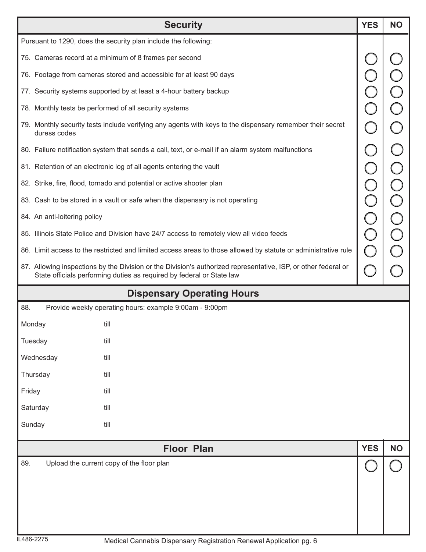|                                                                                                                | <b>Security</b>                                                                                                                                                                         | <b>YES</b> | <b>NO</b> |
|----------------------------------------------------------------------------------------------------------------|-----------------------------------------------------------------------------------------------------------------------------------------------------------------------------------------|------------|-----------|
|                                                                                                                | Pursuant to 1290, does the security plan include the following:                                                                                                                         |            |           |
| 75. Cameras record at a minimum of 8 frames per second                                                         |                                                                                                                                                                                         |            |           |
|                                                                                                                | 76. Footage from cameras stored and accessible for at least 90 days                                                                                                                     |            |           |
|                                                                                                                | 77. Security systems supported by at least a 4-hour battery backup                                                                                                                      |            |           |
| 78. Monthly tests be performed of all security systems                                                         |                                                                                                                                                                                         |            |           |
| duress codes                                                                                                   | 79. Monthly security tests include verifying any agents with keys to the dispensary remember their secret                                                                               |            |           |
|                                                                                                                | 80. Failure notification system that sends a call, text, or e-mail if an alarm system malfunctions                                                                                      |            |           |
|                                                                                                                | 81. Retention of an electronic log of all agents entering the vault                                                                                                                     |            |           |
|                                                                                                                | 82. Strike, fire, flood, tornado and potential or active shooter plan                                                                                                                   |            |           |
|                                                                                                                | 83. Cash to be stored in a vault or safe when the dispensary is not operating                                                                                                           |            |           |
| 84. An anti-loitering policy                                                                                   |                                                                                                                                                                                         |            |           |
|                                                                                                                | 85. Illinois State Police and Division have 24/7 access to remotely view all video feeds                                                                                                |            |           |
| 86. Limit access to the restricted and limited access areas to those allowed by statute or administrative rule |                                                                                                                                                                                         |            |           |
|                                                                                                                | 87. Allowing inspections by the Division or the Division's authorized representative, ISP, or other federal or<br>State officials performing duties as required by federal or State law |            |           |
| <b>Dispensary Operating Hours</b>                                                                              |                                                                                                                                                                                         |            |           |
| 88.                                                                                                            | Provide weekly operating hours: example 9:00am - 9:00pm                                                                                                                                 |            |           |
| Monday<br>till                                                                                                 |                                                                                                                                                                                         |            |           |
| Tuesday<br>till                                                                                                |                                                                                                                                                                                         |            |           |
| Wednesday<br>till                                                                                              |                                                                                                                                                                                         |            |           |
| Thursday<br>till                                                                                               |                                                                                                                                                                                         |            |           |
| Friday<br>till                                                                                                 |                                                                                                                                                                                         |            |           |
| Saturday<br>till                                                                                               |                                                                                                                                                                                         |            |           |
| Sunday<br>till                                                                                                 |                                                                                                                                                                                         |            |           |
|                                                                                                                | <b>Floor Plan</b>                                                                                                                                                                       | <b>YES</b> | <b>NO</b> |
| 89.<br>Upload the current copy of the floor plan                                                               |                                                                                                                                                                                         |            |           |
|                                                                                                                |                                                                                                                                                                                         |            |           |
|                                                                                                                |                                                                                                                                                                                         |            |           |
|                                                                                                                |                                                                                                                                                                                         |            |           |
|                                                                                                                |                                                                                                                                                                                         |            |           |